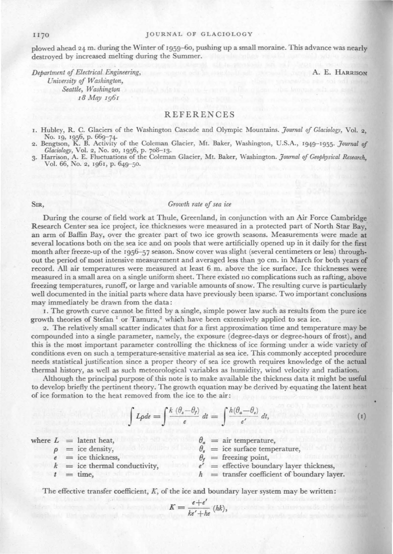#### JOURNAL OF GLACIOLOGY

plowed ahead 24 m. during the \.Yinter of 1959-6o, pushing up a small moraine. This advance was nearly destroyed by increased melting during the Summer.

*Department of Electrical Engineering,* A. E. IlARRISON *L'niversity of Washington, Seattle, Washington*  18 *May* 1961

## **REFERENCES**

1. Hubley, R. C. Glaciers of the Washington Cascade and Olympic Mountains. *Journal of Glacwlogy,* Vol. 2, No. 19, 1956, p. 669-74· 2. Bengtson, K. B. Activity of the Coleman Glacier, Mt. Baker, Washington, U.S.A., 1949-1955. *Joumal of* 

Glaciology, Vol. 2, No. 20, 1956, p. 708–13.<br>3. Harrison, A. E. Fluctuations of the Coleman Glacier, Mt. Baker, Washington. *Journal of Geophysical Research*, Vol. 66, Ko. 2, 1961, p. 649-50.

 $wh$ 

## SIR, *Growth rate of sea ice*

During the course of field work at Thule, Greenland, in conjunction with an Air Force Cambridge Research Center sea ice project, ice thicknesses were measured in a protected part of North Star Bay, an arm of Baffin Bay, over the greater part of two ice growth seasons. Measurements were made at several locations both on the sea ice and on pools that were artificially opened up in it daily for the first month after freeze-up of the 1956-57 season. Snow cover was slight (several centimeters or less) throughout the period of most intensive measurement and averaged less than 30 cm. in March for both years of record. All air temperatures were measured at least 6 m. above the ice surface. Ice thicknesses were measured in a small area on a single uniform sheet. There existed uo complications such as rafting, above freezing temperatures, runoff, or large and variable amounts of snow. The resulting curve is particularly well documented in the initial parts where data have previously been sparse. Two important conclusions may immediately be drawn from the data:

1. The growth curve cannot be fitted by a single, simple power law such as results from the pure ice growth theories of Stefan<sup> $I$ </sup> or Tamura,<sup>2</sup> which have been extensively applied to sea ice.

2. The relatively small scatter indicates that for a first approximation time and temperature may be compounded into a single parameter, namely, the exposure (degree-days or degree-hours of frost), and this is the most important parameter controlling the thickness of ice forming under a wide variety of conditions even on such a temperature-sensitive material as sea ice. This commonly accepted procedure needs statistical justification since a proper theory of sea ice growth requires knowledge of the actual thermal history, as well as such meteorological variables as humidity, wind velocity and radiation.

Although the principal purpose of this note is to make available the thickness data it might be useful to develop briefly the pertinent theory. The growth equation may be derived by equating the latent heat of ice formation to the heat removed from the ice to the air:

$$
\int L\rho d e = \int \frac{k\ (\theta_s - \theta_f)}{e} dt = \int \frac{h(\theta_a - \theta_s)}{e'} dt,
$$
\n(1)

|  | ere $L =$ latent heat,           |  | $\theta_{\alpha} = \text{air temperature.}$   |  |
|--|----------------------------------|--|-----------------------------------------------|--|
|  | $\rho =$ ice density,            |  | $\theta_{\rm s}$ = ice surface temperature,   |  |
|  | $e =$ ice thickness.             |  | $\theta_{r}$ = freezing point,                |  |
|  | $k = i$ ce thermal conductivity, |  | $e'$ = effective boundary layer thickness,    |  |
|  | $t = \text{time}$ .              |  | $h$ = transfer coefficient of boundary layer. |  |

The effective transfer coefficient,  $K$ , of the ice and boundary layer system may be written:

$$
K = \frac{e+e'}{ke'+he} (hk),
$$

#### 1170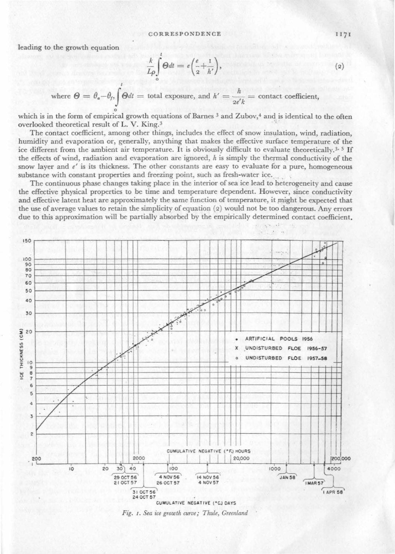leading to the growth equation

$$
\frac{k}{L\rho}\int\limits_{0}^{t}\Theta dt=e\bigg(\frac{e}{2}+\frac{1}{h'}\bigg),
$$

where  $\Theta = \theta_a - \theta_f$ ,  $\int \Theta dt =$  total exposure, and  $h' = \frac{h}{2e'k} =$  contact coefficient,

which is in the form of empirical growth equations of Barnes 3 and Zubov,<sup>4</sup> and is identical to the often overlooked theoretical result of L. V. King.<sup>3</sup>

The contact coefficient, among other things, includes the effect of snow insulation, wind, radiation, humidity and evaporation or, generally, anything that makes the effective surface temperature of the ice different from the ambient air temperature. It is obviously difficult to evaluate theoretically, 3, 5 If the effects of wind, radiation and evaporation are ignored,  $h$  is simply the thermal conductivity of the snow layer and  $e'$  is its thickness. The other constants are easy to evaluate for a pure, homogeneous substance with constant properties and freezing point, such as fresh-water ice.

The continuous phase changes taking place in the interior of sea ice lead to heterogeneity and cause the effective physical properties to be time and temperature dependent. However, since conductivity and effective latent heat are approximately the same function of temperature, it might be expected that the use of average values to retain the simplicity of equation  $(2)$  would not be too dangerous. Any errors due to this approximation will be partially absorbed by the empirically determined contact coefficient.



Fig. 1. Sea ice growth curve; Thule, Greenland

 $(2)$